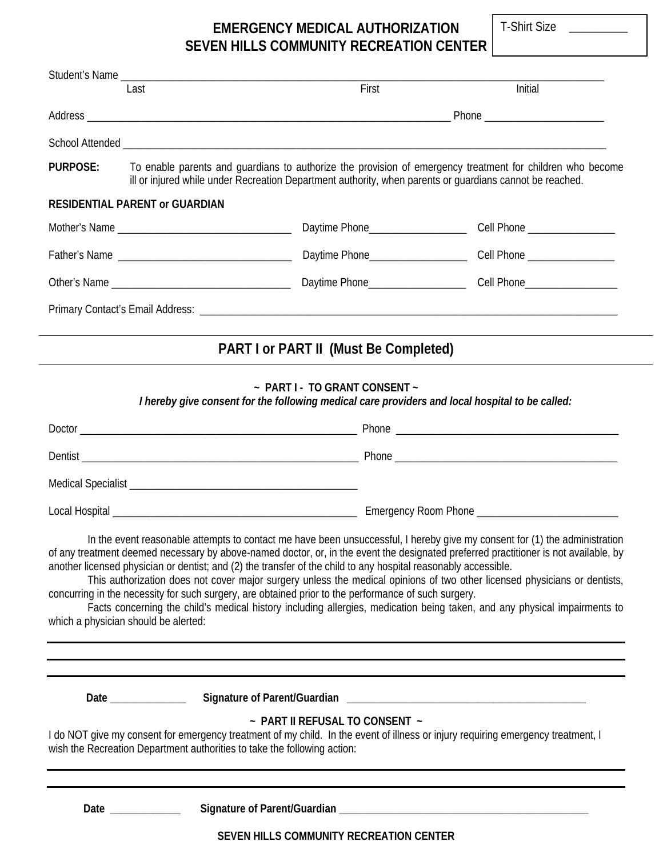T-Shirt Size \_\_\_\_\_\_\_\_\_

## **EMERGENCY MEDICAL AUTHORIZATION SEVEN HILLS COMMUNITY RECREATION CENTER**

Last **Example 2018** Contract First **First** Contract *Initial* 

Student's Name \_\_\_\_\_\_\_\_\_\_\_\_\_\_\_\_\_\_\_\_\_\_\_\_\_\_\_\_\_\_\_\_\_\_\_\_\_\_\_\_\_\_\_\_\_\_\_\_\_\_\_\_\_\_\_\_\_\_\_\_\_\_\_\_\_\_\_\_\_\_\_\_\_\_\_\_\_\_\_\_\_\_\_\_\_\_\_\_\_

| Phone ___________________________ |                                                                                                                                                                                                                       |                                                                                                                                                                                                                         |                                                                                                                                                                                                                                                                                                                                                                                                                                                                                                                              |  |  |  |  |  |
|-----------------------------------|-----------------------------------------------------------------------------------------------------------------------------------------------------------------------------------------------------------------------|-------------------------------------------------------------------------------------------------------------------------------------------------------------------------------------------------------------------------|------------------------------------------------------------------------------------------------------------------------------------------------------------------------------------------------------------------------------------------------------------------------------------------------------------------------------------------------------------------------------------------------------------------------------------------------------------------------------------------------------------------------------|--|--|--|--|--|
|                                   |                                                                                                                                                                                                                       |                                                                                                                                                                                                                         |                                                                                                                                                                                                                                                                                                                                                                                                                                                                                                                              |  |  |  |  |  |
| PURPOSE:                          | To enable parents and guardians to authorize the provision of emergency treatment for children who become<br>ill or injured while under Recreation Department authority, when parents or quardians cannot be reached. |                                                                                                                                                                                                                         |                                                                                                                                                                                                                                                                                                                                                                                                                                                                                                                              |  |  |  |  |  |
|                                   | <b>RESIDENTIAL PARENT or GUARDIAN</b>                                                                                                                                                                                 |                                                                                                                                                                                                                         |                                                                                                                                                                                                                                                                                                                                                                                                                                                                                                                              |  |  |  |  |  |
|                                   |                                                                                                                                                                                                                       | Daytime Phone_____________________                                                                                                                                                                                      | Cell Phone __________________                                                                                                                                                                                                                                                                                                                                                                                                                                                                                                |  |  |  |  |  |
|                                   |                                                                                                                                                                                                                       |                                                                                                                                                                                                                         |                                                                                                                                                                                                                                                                                                                                                                                                                                                                                                                              |  |  |  |  |  |
|                                   |                                                                                                                                                                                                                       |                                                                                                                                                                                                                         |                                                                                                                                                                                                                                                                                                                                                                                                                                                                                                                              |  |  |  |  |  |
|                                   |                                                                                                                                                                                                                       |                                                                                                                                                                                                                         |                                                                                                                                                                                                                                                                                                                                                                                                                                                                                                                              |  |  |  |  |  |
|                                   |                                                                                                                                                                                                                       | <b>PART I or PART II (Must Be Completed)</b>                                                                                                                                                                            |                                                                                                                                                                                                                                                                                                                                                                                                                                                                                                                              |  |  |  |  |  |
|                                   |                                                                                                                                                                                                                       | ~ PART I - TO GRANT CONSENT ~<br>I hereby give consent for the following medical care providers and local hospital to be called:                                                                                        |                                                                                                                                                                                                                                                                                                                                                                                                                                                                                                                              |  |  |  |  |  |
|                                   |                                                                                                                                                                                                                       |                                                                                                                                                                                                                         |                                                                                                                                                                                                                                                                                                                                                                                                                                                                                                                              |  |  |  |  |  |
|                                   |                                                                                                                                                                                                                       |                                                                                                                                                                                                                         |                                                                                                                                                                                                                                                                                                                                                                                                                                                                                                                              |  |  |  |  |  |
|                                   |                                                                                                                                                                                                                       |                                                                                                                                                                                                                         |                                                                                                                                                                                                                                                                                                                                                                                                                                                                                                                              |  |  |  |  |  |
|                                   |                                                                                                                                                                                                                       |                                                                                                                                                                                                                         |                                                                                                                                                                                                                                                                                                                                                                                                                                                                                                                              |  |  |  |  |  |
|                                   | which a physician should be alerted:                                                                                                                                                                                  | another licensed physician or dentist; and (2) the transfer of the child to any hospital reasonably accessible.<br>concurring in the necessity for such surgery, are obtained prior to the performance of such surgery. | In the event reasonable attempts to contact me have been unsuccessful, I hereby give my consent for (1) the administration<br>of any treatment deemed necessary by above-named doctor, or, in the event the designated preferred practitioner is not available, by<br>This authorization does not cover major surgery unless the medical opinions of two other licensed physicians or dentists,<br>Facts concerning the child's medical history including allergies, medication being taken, and any physical impairments to |  |  |  |  |  |
|                                   |                                                                                                                                                                                                                       |                                                                                                                                                                                                                         |                                                                                                                                                                                                                                                                                                                                                                                                                                                                                                                              |  |  |  |  |  |
|                                   |                                                                                                                                                                                                                       |                                                                                                                                                                                                                         |                                                                                                                                                                                                                                                                                                                                                                                                                                                                                                                              |  |  |  |  |  |
|                                   | wish the Recreation Department authorities to take the following action:                                                                                                                                              | ~ PART II REFUSAL TO CONSENT ~                                                                                                                                                                                          | I do NOT give my consent for emergency treatment of my child. In the event of illness or injury requiring emergency treatment, I                                                                                                                                                                                                                                                                                                                                                                                             |  |  |  |  |  |
|                                   | Date ______________                                                                                                                                                                                                   |                                                                                                                                                                                                                         |                                                                                                                                                                                                                                                                                                                                                                                                                                                                                                                              |  |  |  |  |  |
|                                   |                                                                                                                                                                                                                       | SEVEN HILLS COMMUNITY RECREATION CENTER                                                                                                                                                                                 |                                                                                                                                                                                                                                                                                                                                                                                                                                                                                                                              |  |  |  |  |  |